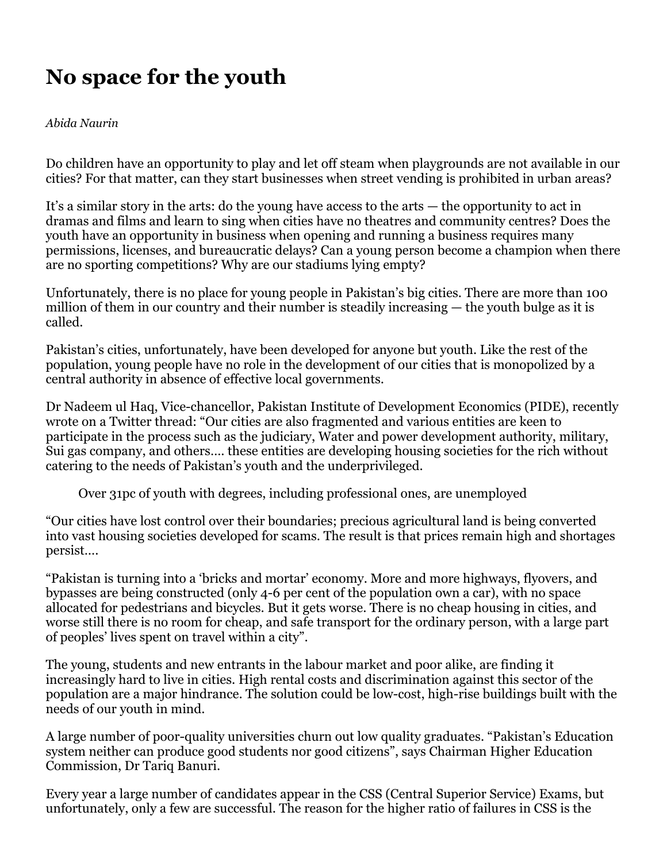## **No space for the youth**

## *Abida Naurin*

Do children have an opportunity to play and let off steam when playgrounds are not available in our cities? For that matter, can they start businesses when street vending is prohibited in urban areas?

It's a similar story in the arts: do the young have access to the arts — the opportunity to act in dramas and films and learn to sing when cities have no theatres and community centres? Does the youth have an opportunity in business when opening and running a business requires many permissions, licenses, and bureaucratic delays? Can a young person become a champion when there are no sporting competitions? Why are our stadiums lying empty?

Unfortunately, there is no place for young people in Pakistan's big cities. There are more than 100 million of them in our country and their number is steadily increasing — the youth bulge as it is called.

Pakistan's cities, unfortunately, have been developed for anyone but youth. Like the rest of the population, young people have no role in the development of our cities that is monopolized by a central authority in absence of effective local governments.

Dr Nadeem ul Haq, Vice-chancellor, Pakistan Institute of Development Economics (PIDE), recently wrote on a Twitter thread: "Our cities are also fragmented and various entities are keen to participate in the process such as the judiciary, Water and power development authority, military, Sui gas company, and others…. these entities are developing housing societies for the rich without catering to the needs of Pakistan's youth and the underprivileged.

Over 31pc of youth with degrees, including professional ones, are unemployed

"Our cities have lost control over their boundaries; precious agricultural land is being converted into vast housing societies developed for scams. The result is that prices remain high and shortages persist….

"Pakistan is turning into a 'bricks and mortar' economy. More and more highways, flyovers, and bypasses are being constructed (only 4-6 per cent of the population own a car), with no space allocated for pedestrians and bicycles. But it gets worse. There is no cheap housing in cities, and worse still there is no room for cheap, and safe transport for the ordinary person, with a large part of peoples' lives spent on travel within a city".

The young, students and new entrants in the labour market and poor alike, are finding it increasingly hard to live in cities. High rental costs and discrimination against this sector of the population are a major hindrance. The solution could be low-cost, high-rise buildings built with the needs of our youth in mind.

A large number of poor-quality universities churn out low quality graduates. "Pakistan's Education system neither can produce good students nor good citizens", says Chairman Higher Education Commission, Dr Tariq Banuri.

Every year a large number of candidates appear in the CSS (Central Superior Service) Exams, but unfortunately, only a few are successful. The reason for the higher ratio of failures in CSS is the